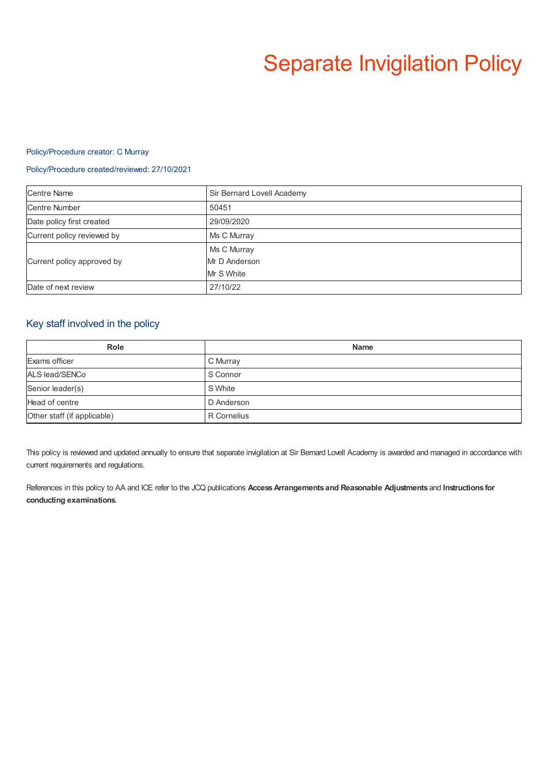# Separate Invigilation Policy

#### Policy/Procedure creator: C Murray

#### Policy/Procedure created/reviewed: 27/10/2021

| <b>Centre Name</b>         | Sir Bernard Lovell Academy |
|----------------------------|----------------------------|
| <b>Centre Number</b>       | 50451                      |
| Date policy first created  | 29/09/2020                 |
| Current policy reviewed by | Ms C Murray                |
| Current policy approved by | Ms C Murray                |
|                            | Mr D Anderson              |
|                            | Mr S White                 |
| Date of next review        | 27/10/22                   |

#### Key staff involved in the policy

| <b>Role</b>                 | <b>Name</b> |
|-----------------------------|-------------|
| Exams officer               | C Murray    |
| ALS lead/SENCo              | S Connor    |
| Senior leader(s)            | S White     |
| Head of centre              | D Anderson  |
| Other staff (if applicable) | R Cornelius |

This policy is reviewed and updated annually to ensure that separate invigilation at Sir Bernard Lovell Academy is awarded and managed in accordance with current requirements and regulations.

References in this policy to AA and ICE refer to the JCQ publications **AccessArrangements and Reasonable Adjustments** and **Instructions for conducting examinations**.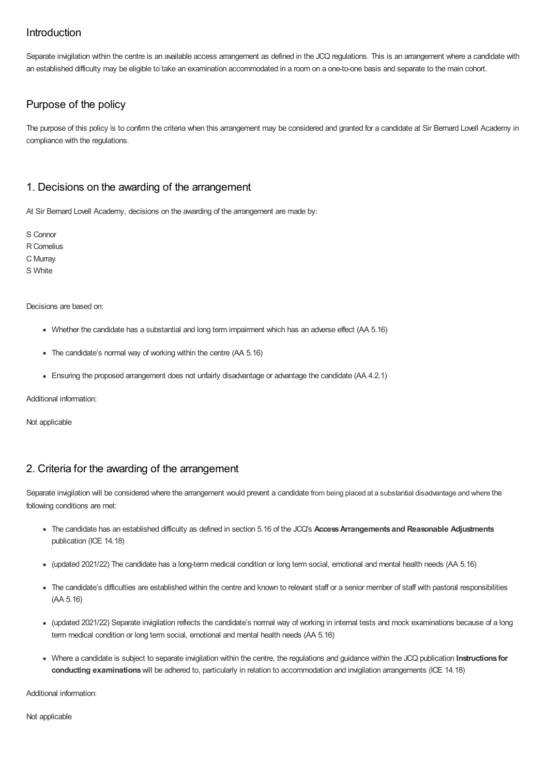# Introduction

Separate invigilation within the centre is an available access arrangement as defined in the JCQ regulations. This is an arrangement where a candidate with an established difficulty may be eligible to take an examination accommodated in a room on a one-to-one basis and separate to the main cohort.

# Purpose of the policy

The purpose of this policy is to confirm the criteria when this arrangement may be considered and granted for a candidate at Sir Bernard Lovell Academy in compliance with the regulations.

## 1. Decisions on the awarding of the arrangement

At Sir Bernard Lovell Academy, decisions on the awarding of the arrangement are made by:

S Connor R Cornelius C Murray S White

Decisions are based on:

- Whether the candidate has a substantial and long term impairment which has an adverse effect (AA 5.16)
- The candidate's normal way of working within the centre (AA 5.16)
- Ensuring the proposed arrangement does not unfairly disadvantage or advantage the candidate (AA 4.2.1)

Additional information:

Not applicable

## 2. Criteria for the awarding of the arrangement

Separate invigilation will be considered where the arrangement would prevent a candidate from being placed at a substantial disadvantage and where the following conditions are met:

- The candidate has an established difficulty as defined in section 5.16 of the JCQ's **AccessArrangements and Reasonable Adjustments** publication (ICE 14.18)
- (updated 2021/22) The candidate has a long-term medical condition or long term social, emotional and mental health needs (AA 5.16)
- The candidate's difficulties are established within the centre and known to relevant staff or a senior member of staff with pastoral responsibilities (AA 5.16)
- (updated 2021/22) Separate invigilation reflects the candidate's normal way of working in internal tests and mock examinations because of a long term medical condition or long term social, emotional and mental health needs (AA 5.16)
- Where a candidate is subject to separate invigilation within the centre, the regulations and guidance within the JCQ publication **Instructions for conducting examinations**will be adhered to, particularly in relation to accommodation and invigilation arrangements (ICE 14.18)

Additional information:

Not applicable